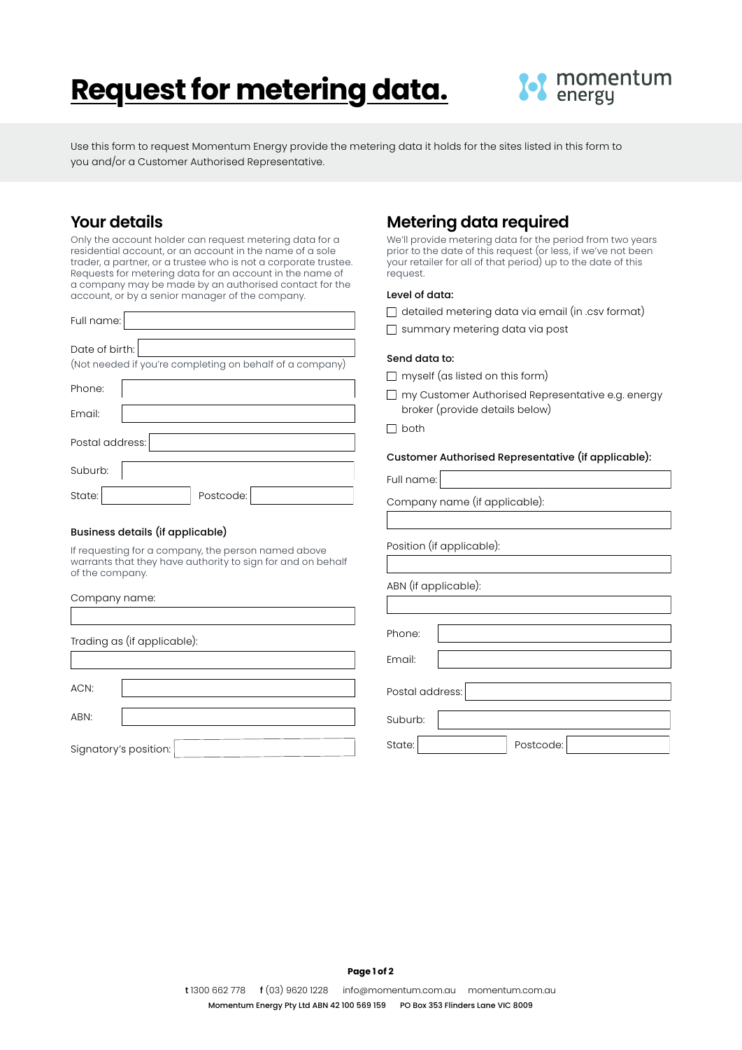# **Request for metering data.**



Use this form to request Momentum Energy provide the metering data it holds for the sites listed in this form to you and/or a Customer Authorised Representative.

## **Your details**

Only the account holder can request metering data for a residential account, or an account in the name of a sole trader, a partner, or a trustee who is not a corporate trustee. Requests for metering data for an account in the name of a company may be made by an authorised contact for the account, or by a senior manager of the company.

| Full name:                                                                 |           |  |  |  |
|----------------------------------------------------------------------------|-----------|--|--|--|
| Date of birth:<br>(Not needed if you're completing on behalf of a company) |           |  |  |  |
|                                                                            |           |  |  |  |
| Phone:                                                                     |           |  |  |  |
| Email:                                                                     |           |  |  |  |
| Postal address:                                                            |           |  |  |  |
| Suburb:                                                                    |           |  |  |  |
| State:                                                                     | Postcode: |  |  |  |

#### Business details (if applicable)

If requesting for a company, the person named above warrants that they have authority to sign for and on behalf of the company.

Company name:

Trading as (if applicable):

| ACN:                  |  |  |  |
|-----------------------|--|--|--|
|                       |  |  |  |
| ABN:                  |  |  |  |
|                       |  |  |  |
| Signatory's position: |  |  |  |

# **Metering data required**

We'll provide metering data for the period from two years prior to the date of this request (or less, if we've not been your retailer for all of that period) up to the date of this request.

#### Level of data:

- $\Box$  detailed metering data via email (in .csv format)
- summary metering data via post

#### Send data to:

- $\Box$  myself (as listed on this form)
- □ my Customer Authorised Representative e.g. energy broker (provide details below)
- $\Box$  both

Customer Authorised Representative (if applicable):

Full name:

Company name (if applicable):

Position (if applicable):

ABN (if applicable):

| Phone:          |           |  |
|-----------------|-----------|--|
| Email:          |           |  |
| Postal address: |           |  |
|                 |           |  |
| Suburb:         |           |  |
| State:          | Postcode: |  |